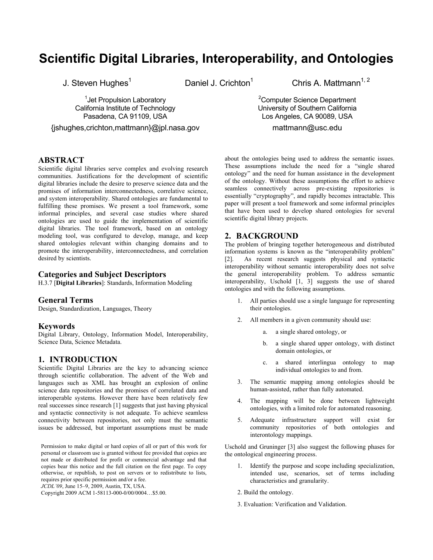# **Scientific Digital Libraries, Interoperability, and Ontologies**

<sup>1</sup> Jet Propulsion Laboratory California Institute of Technology Pasadena, CA 91109, USA

{jshughes,crichton,mattmann}@jpl.nasa.gov

J. Steven Hughes<sup>1</sup> Daniel J. Crichton<sup>1</sup> Chris A. Mattmann<sup>1, 2</sup>

<sup>2</sup>Computer Science Department University of Southern California Los Angeles, CA 90089, USA

mattmann@usc.edu

# **ABSTRACT**

Scientific digital libraries serve complex and evolving research communities. Justifications for the development of scientific digital libraries include the desire to preserve science data and the promises of information interconnectedness, correlative science, and system interoperability. Shared ontologies are fundamental to fulfilling these promises. We present a tool framework, some informal principles, and several case studies where shared ontologies are used to guide the implementation of scientific digital libraries. The tool framework, based on an ontology modeling tool, was configured to develop, manage, and keep shared ontologies relevant within changing domains and to promote the interoperability, interconnectedness, and correlation desired by scientists.

# **Categories and Subject Descriptors**

H.3.7 [**Digital Libraries**]: Standards, Information Modeling

#### **General Terms**

Design, Standardization, Languages, Theory

#### **Keywords**

Digital Library, Ontology, Information Model, Interoperability, Science Data, Science Metadata.

#### **1. INTRODUCTION**

Scientific Digital Libraries are the key to advancing science through scientific collaboration. The advent of the Web and languages such as XML has brought an explosion of online science data repositories and the promises of correlated data and interoperable systems. However there have been relatively few real successes since research [1] suggests that just having physical and syntactic connectivity is not adequate. To achieve seamless connectivity between repositories, not only must the semantic issues be addressed, but important assumptions must be made

Permission to make digital or hard copies of all or part of this work for personal or classroom use is granted without fee provided that copies are not made or distributed for profit or commercial advantage and that copies bear this notice and the full citation on the first page. To copy otherwise, or republish, to post on servers or to redistribute to lists, requires prior specific permission and/or a fee.

*JCDL'09*, June 15–9, 2009, Austin, TX, USA.

about the ontologies being used to address the semantic issues. These assumptions include the need for a "single shared ontology" and the need for human assistance in the development of the ontology. Without these assumptions the effort to achieve seamless connectively across pre-existing repositories is essentially "cryptography", and rapidly becomes intractable. This paper will present a tool framework and some informal principles that have been used to develop shared ontologies for several scientific digital library projects.

#### **2. BACKGROUND**

The problem of bringing together heterogeneous and distributed information systems is known as the "interoperability problem" [2]. As recent research suggests physical and syntactic interoperability without semantic interoperability does not solve the general interoperability problem. To address semantic interoperability, Uschold [1, 3] suggests the use of shared ontologies and with the following assumptions.

- 1. All parties should use a single language for representing their ontologies.
- 2. All members in a given community should use:
	- a. a single shared ontology, or
	- b. a single shared upper ontology, with distinct domain ontologies, or
	- c. a shared interlingua ontology to map individual ontologies to and from.
- 3. The semantic mapping among ontologies should be human-assisted, rather than fully automated.
- 4. The mapping will be done between lightweight ontologies, with a limited role for automated reasoning.
- 5. Adequate infrastructure support will exist for community repositories of both ontologies and interontology mappings.

Uschold and Gruninger [3] also suggest the following phases for the ontological engineering process.

- 1. Identify the purpose and scope including specialization, intended use, scenarios, set of terms including characteristics and granularity.
- 2. Build the ontology.
- 3. Evaluation: Verification and Validation.

Copyright 2009 ACM 1-58113-000-0/00/0004…\$5.00.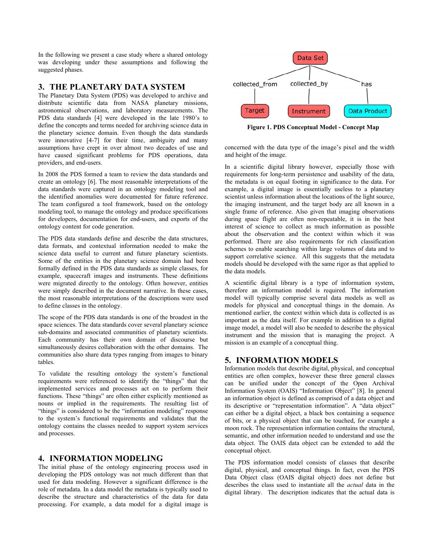In the following we present a case study where a shared ontology was developing under these assumptions and following the suggested phases.

### **3. THE PLANETARY DATA SYSTEM**

The Planetary Data System (PDS) was developed to archive and distribute scientific data from NASA planetary missions, astronomical observations, and laboratory measurements. The PDS data standards [4] were developed in the late 1980's to define the concepts and terms needed for archiving science data in the planetary science domain. Even though the data standards were innovative [4-7] for their time, ambiguity and many assumptions have crept in over almost two decades of use and have caused significant problems for PDS operations, data providers, and end-users.

In 2008 the PDS formed a team to review the data standards and create an ontology [6]. The most reasonable interpretations of the data standards were captured in an ontology modeling tool and the identified anomalies were documented for future reference. The team configured a tool framework, based on the ontology modeling tool, to manage the ontology and produce specifications for developers, documentation for end-users, and exports of the ontology content for code generation.

The PDS data standards define and describe the data structures, data formats, and contextual information needed to make the science data useful to current and future planetary scientists. Some of the entities in the planetary science domain had been formally defined in the PDS data standards as simple classes, for example, spacecraft images and instruments. These definitions were migrated directly to the ontology. Often however, entities were simply described in the document narrative. In these cases, the most reasonable interpretations of the descriptions were used to define classes in the ontology.

The scope of the PDS data standards is one of the broadest in the space sciences. The data standards cover several planetary science sub-domains and associated communities of planetary scientists. Each community has their own domain of discourse but simultaneously desires collaboration with the other domains. The communities also share data types ranging from images to binary tables.

To validate the resulting ontology the system's functional requirements were referenced to identify the "things" that the implemented services and processes act on to perform their functions. These "things" are often either explicitly mentioned as nouns or implied in the requirements. The resulting list of "things" is considered to be the "information modeling" response to the system's functional requirements and validates that the ontology contains the classes needed to support system services and processes.

# **4. INFORMATION MODELING**

The initial phase of the ontology engineering process used in developing the PDS ontology was not much different than that used for data modeling. However a significant difference is the role of metadata. In a data model the metadata is typically used to describe the structure and characteristics of the data for data processing. For example, a data model for a digital image is



**Figure 1. PDS Conceptual Model - Concept Map** 

concerned with the data type of the image's pixel and the width and height of the image.

In a scientific digital library however, especially those with requirements for long-term persistence and usability of the data, the metadata is on equal footing in significance to the data. For example, a digital image is essentially useless to a planetary scientist unless information about the locations of the light source, the imaging instrument, and the target body are all known in a single frame of reference. Also given that imaging observations during space flight are often non-repeatable, it is in the best interest of science to collect as much information as possible about the observation and the context within which it was performed. There are also requirements for rich classification schemes to enable searching within large volumes of data and to support correlative science. All this suggests that the metadata models should be developed with the same rigor as that applied to the data models.

A scientific digital library is a type of information system, therefore an information model is required. The information model will typically comprise several data models as well as models for physical and conceptual things in the domain. As mentioned earlier, the context within which data is collected is as important as the data itself. For example in addition to a digital image model, a model will also be needed to describe the physical instrument and the mission that is managing the project. A mission is an example of a conceptual thing.

# **5. INFORMATION MODELS**

Information models that describe digital, physical, and conceptual entities are often complex, however these three general classes can be unified under the concept of the Open Archival Information System (OAIS) "Information Object" [8]. In general an information object is defined as comprised of a data object and its descriptive or "representation information". A "data object" can either be a digital object, a black box containing a sequence of bits, or a physical object that can be touched, for example a moon rock. The representation information contains the structural, semantic, and other information needed to understand and use the data object. The OAIS data object can be extended to add the conceptual object.

The PDS information model consists of classes that describe digital, physical, and conceptual things. In fact, even the PDS Data Object class (OAIS digital object) does not define but describes the class used to instantiate all the *actual* data in the digital library. The description indicates that the actual data is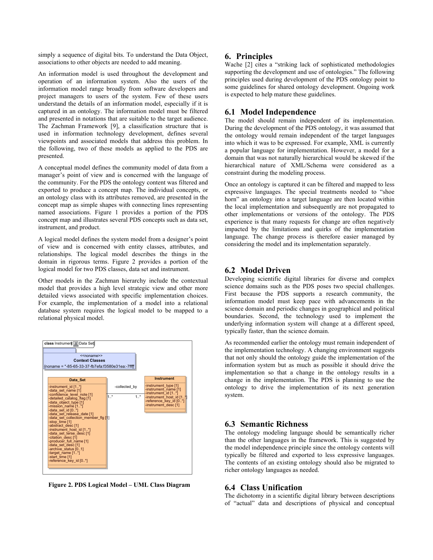simply a sequence of digital bits. To understand the Data Object, associations to other objects are needed to add meaning.

An information model is used throughout the development and operation of an information system. Also the users of the information model range broadly from software developers and project managers to users of the system. Few of these users understand the details of an information model, especially if it is captured in an ontology. The information model must be filtered and presented in notations that are suitable to the target audience. The Zachman Framework [9], a classification structure that is used in information technology development, defines several viewpoints and associated models that address this problem. In the following, two of these models as applied to the PDS are presented.

A conceptual model defines the community model of data from a manager's point of view and is concerned with the language of the community. For the PDS the ontology content was filtered and exported to produce a concept map. The individual concepts, or an ontology class with its attributes removed, are presented in the concept map as simple shapes with connecting lines representing named associations. Figure 1 provides a portion of the PDS concept map and illustrates several PDS concepts such as data set, instrument, and product.

A logical model defines the system model from a designer's point of view and is concerned with entity classes, attributes, and relationships. The logical model describes the things in the domain in rigorous terms. Figure 2 provides a portion of the logical model for two PDS classes, data set and instrument.

Other models in the Zachman hierarchy include the contextual model that provides a high level strategic view and other more detailed views associated with specific implementation choices. For example, the implementation of a model into a relational database system requires the logical model to be mapped to a relational physical model.



**Figure 2. PDS Logical Model – UML Class Diagram** 

#### **6. Principles**

Wache [2] cites a "striking lack of sophisticated methodologies supporting the development and use of ontologies." The following principles used during development of the PDS ontology point to some guidelines for shared ontology development. Ongoing work is expected to help mature these guidelines.

#### **6.1 Model Independence**

The model should remain independent of its implementation. During the development of the PDS ontology, it was assumed that the ontology would remain independent of the target languages into which it was to be expressed. For example, XML is currently a popular language for implementation. However, a model for a domain that was not naturally hierarchical would be skewed if the hierarchical nature of XML/Schema were considered as a constraint during the modeling process.

Once an ontology is captured it can be filtered and mapped to less expressive languages. The special treatments needed to "shoe horn" an ontology into a target language are then located within the local implementation and subsequently are not propagated to other implementations or versions of the ontology. The PDS experience is that many requests for change are often negatively impacted by the limitations and quirks of the implementation language. The change process is therefore easier managed by considering the model and its implementation separately.

#### **6.2 Model Driven**

Developing scientific digital libraries for diverse and complex science domains such as the PDS poses two special challenges. First because the PDS supports a research community, the information model must keep pace with advancements in the science domain and periodic changes in geographical and political boundaries. Second, the technology used to implement the underlying information system will change at a different speed, typically faster, than the science domain.

As recommended earlier the ontology must remain independent of the implementation technology. A changing environment suggests that not only should the ontology guide the implementation of the information system but as much as possible it should drive the implementation so that a change in the ontology results in a change in the implementation. The PDS is planning to use the ontology to drive the implementation of its next generation system.

# **6.3 Semantic Richness**

The ontology modeling language should be semantically richer than the other languages in the framework. This is suggested by the model independence principle since the ontology contents will typically be filtered and exported to less expressive languages. The contents of an existing ontology should also be migrated to richer ontology languages as needed.

#### **6.4 Class Unification**

The dichotomy in a scientific digital library between descriptions of "actual" data and descriptions of physical and conceptual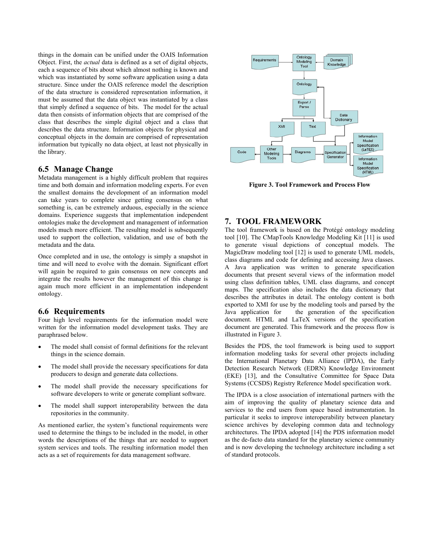things in the domain can be unified under the OAIS Information Object. First, the *actual* data is defined as a set of digital objects, each a sequence of bits about which almost nothing is known and which was instantiated by some software application using a data structure. Since under the OAIS reference model the description of the data structure is considered representation information, it must be assumed that the data object was instantiated by a class that simply defined a sequence of bits. The model for the actual data then consists of information objects that are comprised of the class that describes the simple digital object and a class that describes the data structure. Information objects for physical and conceptual objects in the domain are comprised of representation information but typically no data object, at least not physically in the library.

#### **6.5 Manage Change**

Metadata management is a highly difficult problem that requires time and both domain and information modeling experts. For even the smallest domains the development of an information model can take years to complete since getting consensus on what something is, can be extremely arduous, especially in the science domains. Experience suggests that implementation independent ontologies make the development and management of information models much more efficient. The resulting model is subsequently used to support the collection, validation, and use of both the metadata and the data.

Once completed and in use, the ontology is simply a snapshot in time and will need to evolve with the domain. Significant effort will again be required to gain consensus on new concepts and integrate the results however the management of this change is again much more efficient in an implementation independent ontology.

#### **6.6 Requirements**

Four high level requirements for the information model were written for the information model development tasks. They are paraphrased below.

- The model shall consist of formal definitions for the relevant things in the science domain.
- The model shall provide the necessary specifications for data producers to design and generate data collections.
- The model shall provide the necessary specifications for software developers to write or generate compliant software.
- The model shall support interoperability between the data repositories in the community.

As mentioned earlier, the system's functional requirements were used to determine the things to be included in the model, in other words the descriptions of the things that are needed to support system services and tools. The resulting information model then acts as a set of requirements for data management software.



**Figure 3. Tool Framework and Process Flow** 

#### **7. TOOL FRAMEWORK**

The tool framework is based on the Protégé ontology modeling tool [10]. The CMapTools Knowledge Modeling Kit [11] is used to generate visual depictions of conceptual models. The MagicDraw modeling tool [12] is used to generate UML models, class diagrams and code for defining and accessing Java classes. A Java application was written to generate specification documents that present several views of the information model using class definition tables, UML class diagrams, and concept maps. The specification also includes the data dictionary that describes the attributes in detail. The ontology content is both exported to XMI for use by the modeling tools and parsed by the Java application for the generation of the specification document. HTML and LaTeX versions of the specification document are generated. This framework and the process flow is illustrated in Figure 3.

Besides the PDS, the tool framework is being used to support information modeling tasks for several other projects including the International Planetary Data Alliance (IPDA), the Early Detection Research Network (EDRN) Knowledge Environment (EKE) [13], and the Consultative Committee for Space Data Systems (CCSDS) Registry Reference Model specification work.

The IPDA is a close association of international partners with the aim of improving the quality of planetary science data and services to the end users from space based instrumentation. In particular it seeks to improve interoperability between planetary science archives by developing common data and technology architectures. The IPDA adopted [14] the PDS information model as the de-facto data standard for the planetary science community and is now developing the technology architecture including a set of standard protocols.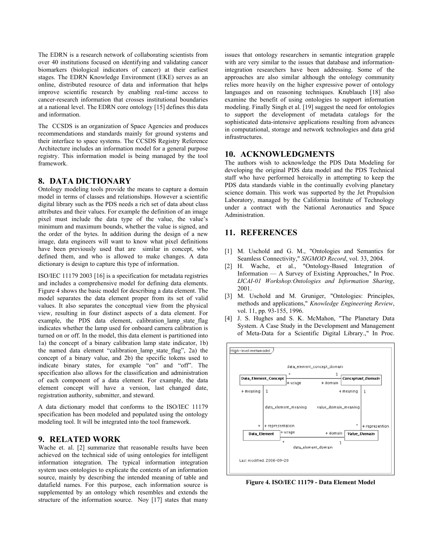The EDRN is a research network of collaborating scientists from over 40 institutions focused on identifying and validating cancer biomarkers (biological indicators of cancer) at their earliest stages. The EDRN Knowledge Environment (EKE) serves as an online, distributed resource of data and information that helps improve scientific research by enabling real-time access to cancer-research information that crosses institutional boundaries at a national level. The EDRN core ontology [15] defines this data and information.

The CCSDS is an organization of Space Agencies and produces recommendations and standards mainly for ground systems and their interface to space systems. The CCSDS Registry Reference Architecture includes an information model for a general purpose registry. This information model is being managed by the tool framework.

#### **8. DATA DICTIONARY**

Ontology modeling tools provide the means to capture a domain model in terms of classes and relationships. However a scientific digital library such as the PDS needs a rich set of data about class attributes and their values. For example the definition of an image pixel must include the data type of the value, the value's minimum and maximum bounds, whether the value is signed, and the order of the bytes. In addition during the design of a new image, data engineers will want to know what pixel definitions have been previously used that are similar in concept, who defined them, and who is allowed to make changes. A data dictionary is design to capture this type of information.

ISO/IEC 11179 2003 [16] is a specification for metadata registries and includes a comprehensive model for defining data elements. Figure 4 shows the basic model for describing a data element. The model separates the data element proper from its set of valid values. It also separates the conceptual view from the physical view, resulting in four distinct aspects of a data element. For example, the PDS data element, calibration lamp state flag indicates whether the lamp used for onboard camera calibration is turned on or off. In the model, this data element is partitioned into 1a) the concept of a binary calibration lamp state indicator, 1b) the named data element "calibration\_lamp\_state\_flag", 2a) the concept of a binary value, and 2b) the specific tokens used to indicate binary states, for example "on" and "off". The specification also allows for the classification and administration of each component of a data element. For example, the data element concept will have a version, last changed date, registration authority, submitter, and steward.

A data dictionary model that conforms to the ISO/IEC 11179 specification has been modeled and populated using the ontology modeling tool. It will be integrated into the tool framework.

# **9. RELATED WORK**

Wache et. al. [2] summarize that reasonable results have been achieved on the technical side of using ontologies for intelligent information integration. The typical information integration system uses ontologies to explicate the contents of an information source, mainly by describing the intended meaning of table and datafield names. For this purpose, each information source is supplemented by an ontology which resembles and extends the structure of the information source. Noy [17] states that many

issues that ontology researchers in semantic integration grapple with are very similar to the issues that database and informationintegration researchers have been addressing. Some of the approaches are also similar although the ontology community relies more heavily on the higher expressive power of ontology languages and on reasoning techniques. Knublauch [18] also examine the benefit of using ontologies to support information modeling. Finally Singh et al. [19] suggest the need for ontologies to support the development of metadata catalogs for the sophisticated data-intensive applications resulting from advances in computational, storage and network technologies and data grid infrastructures.

#### **10. ACKNOWLEDGMENTS**

The authors wish to acknowledge the PDS Data Modeling for developing the original PDS data model and the PDS Technical staff who have performed heroically in attempting to keep the PDS data standards viable in the continually evolving planetary science domain. This work was supported by the Jet Propulsion Laboratory, managed by the California Institute of Technology under a contract with the National Aeronautics and Space Administration.

# **11. REFERENCES**

- [1] M. Uschold and G. M., "Ontologies and Semantics for Seamless Connectivity," *SIGMOD Record*, vol. 33, 2004.
- [2] H. Wache, et al., "Ontology-Based Integration of Information — A Survey of Existing Approaches," In Proc. *IJCAI-01 Workshop:Ontologies and Information Sharing*, 2001.
- [3] M. Uschold and M. Gruniger, "Ontologies: Principles, methods and applications," *Knowledge Engineering Review*, vol. 11, pp. 93-155, 1996.
- [4] J. S. Hughes and S. K. McMahon, "The Planetary Data System. A Case Study in the Development and Management of Meta-Data for a Scientific Digital Library.," In Proc.



**Figure 4. ISO/IEC 11179 - Data Element Model**